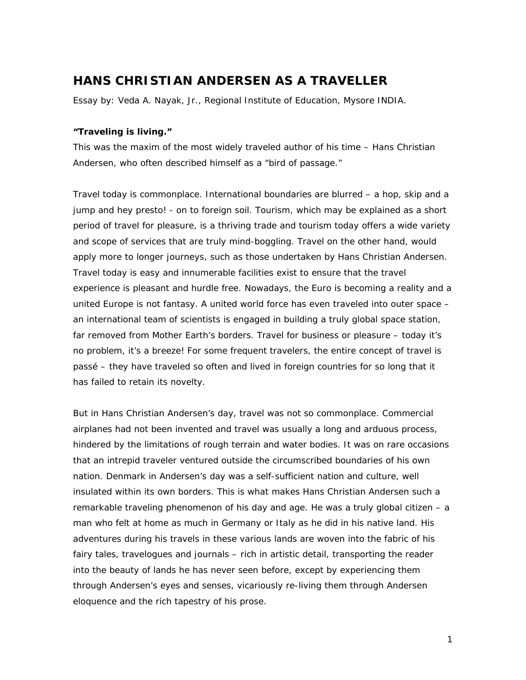## **HANS CHRISTIAN ANDERSEN AS A TRAVELLER**

*Essay by: Veda A. Nayak, Jr., Regional Institute of Education, Mysore INDIA.* 

## **"Traveling is living."**

This was the maxim of the most widely traveled author of his time – Hans Christian Andersen, who often described himself as a "bird of passage."

Travel today is commonplace. International boundaries are blurred – a hop, skip and a jump and hey presto! - on to foreign soil. Tourism, which may be explained as a short period of travel for pleasure, is a thriving trade and tourism today offers a wide variety and scope of services that are truly mind-boggling. Travel on the other hand, would apply more to longer journeys, such as those undertaken by Hans Christian Andersen. Travel today is easy and innumerable facilities exist to ensure that the travel experience is pleasant and hurdle free. Nowadays, the Euro is becoming a reality and a united Europe is not fantasy. A united world force has even traveled into outer space – an international team of scientists is engaged in building a truly global space station, far removed from Mother Earth's borders. Travel for business or pleasure – today it's no problem, it's a breeze! For some frequent travelers, the entire concept of travel is passé – they have traveled so often and lived in foreign countries for so long that it has failed to retain its novelty.

But in Hans Christian Andersen's day, travel was not so commonplace. Commercial airplanes had not been invented and travel was usually a long and arduous process, hindered by the limitations of rough terrain and water bodies. It was on rare occasions that an intrepid traveler ventured outside the circumscribed boundaries of his own nation. Denmark in Andersen's day was a self-sufficient nation and culture, well insulated within its own borders. This is what makes Hans Christian Andersen such a remarkable traveling phenomenon of his day and age. He was a truly global citizen – a man who felt at home as much in Germany or Italy as he did in his native land. His adventures during his travels in these various lands are woven into the fabric of his fairy tales, travelogues and journals – rich in artistic detail, transporting the reader into the beauty of lands he has never seen before, except by experiencing them through Andersen's eyes and senses, vicariously re-living them through Andersen eloquence and the rich tapestry of his prose.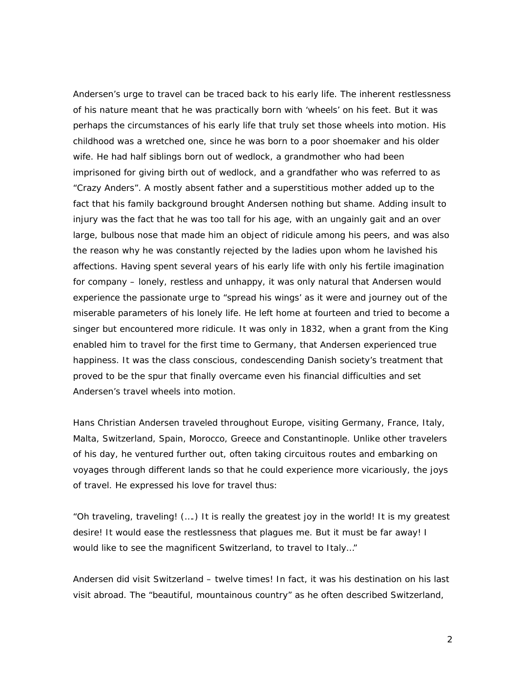Andersen's urge to travel can be traced back to his early life. The inherent restlessness of his nature meant that he was practically born with 'wheels' on his feet. But it was perhaps the circumstances of his early life that truly set those wheels into motion. His childhood was a wretched one, since he was born to a poor shoemaker and his older wife. He had half siblings born out of wedlock, a grandmother who had been imprisoned for giving birth out of wedlock, and a grandfather who was referred to as "Crazy Anders". A mostly absent father and a superstitious mother added up to the fact that his family background brought Andersen nothing but shame. Adding insult to injury was the fact that he was too tall for his age, with an ungainly gait and an over large, bulbous nose that made him an object of ridicule among his peers, and was also the reason why he was constantly rejected by the ladies upon whom he lavished his affections. Having spent several years of his early life with only his fertile imagination for company – lonely, restless and unhappy, it was only natural that Andersen would experience the passionate urge to "spread his wings' as it were and journey out of the miserable parameters of his lonely life. He left home at fourteen and tried to become a singer but encountered more ridicule. It was only in 1832, when a grant from the King enabled him to travel for the first time to Germany, that Andersen experienced true happiness. It was the class conscious, condescending Danish society's treatment that proved to be the spur that finally overcame even his financial difficulties and set Andersen's travel wheels into motion.

Hans Christian Andersen traveled throughout Europe, visiting Germany, France, Italy, Malta, Switzerland, Spain, Morocco, Greece and Constantinople. Unlike other travelers of his day, he ventured further out, often taking circuitous routes and embarking on voyages through different lands so that he could experience more vicariously, the joys of travel. He expressed his love for travel thus:

*"Oh traveling, traveling! (….) It is really the greatest joy in the world! It is my greatest desire! It would ease the restlessness that plagues me. But it must be far away! I would like to see the magnificent Switzerland, to travel to Italy…"*

Andersen did visit Switzerland – twelve times! In fact, it was his destination on his last visit abroad. The "beautiful, mountainous country" as he often described Switzerland,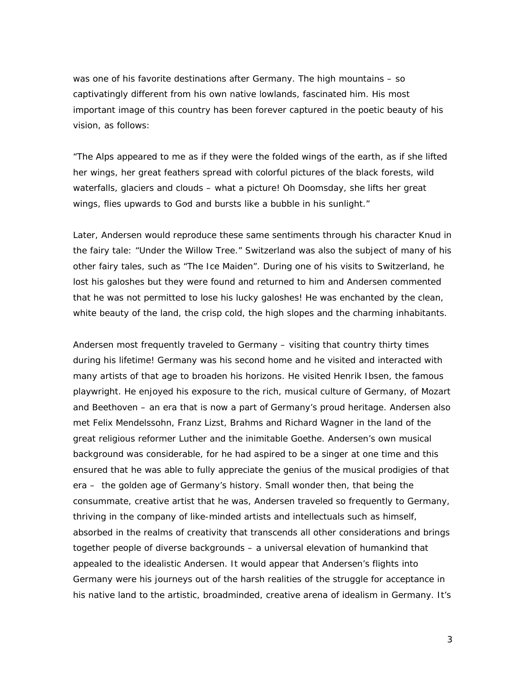was one of his favorite destinations after Germany. The high mountains – so captivatingly different from his own native lowlands, fascinated him. His most important image of this country has been forever captured in the poetic beauty of his vision, as follows:

*"The Alps appeared to me as if they were the folded wings of the earth, as if she lifted her wings, her great feathers spread with colorful pictures of the black forests, wild waterfalls, glaciers and clouds – what a picture! Oh Doomsday, she lifts her great wings, flies upwards to God and bursts like a bubble in his sunlight."*

Later, Andersen would reproduce these same sentiments through his character Knud in the fairy tale: "Under the Willow Tree." Switzerland was also the subject of many of his other fairy tales, such as "The Ice Maiden". During one of his visits to Switzerland, he lost his galoshes but they were found and returned to him and Andersen commented that he was not permitted to lose his lucky galoshes! He was enchanted by the clean, white beauty of the land, the crisp cold, the high slopes and the charming inhabitants.

Andersen most frequently traveled to Germany – visiting that country thirty times during his lifetime! Germany was his second home and he visited and interacted with many artists of that age to broaden his horizons. He visited Henrik Ibsen, the famous playwright. He enjoyed his exposure to the rich, musical culture of Germany, of Mozart and Beethoven – an era that is now a part of Germany's proud heritage. Andersen also met Felix Mendelssohn, Franz Lizst, Brahms and Richard Wagner in the land of the great religious reformer Luther and the inimitable Goethe. Andersen's own musical background was considerable, for he had aspired to be a singer at one time and this ensured that he was able to fully appreciate the genius of the musical prodigies of that era – the golden age of Germany's history. Small wonder then, that being the consummate, creative artist that he was, Andersen traveled so frequently to Germany, thriving in the company of like-minded artists and intellectuals such as himself, absorbed in the realms of creativity that transcends all other considerations and brings together people of diverse backgrounds – a universal elevation of humankind that appealed to the idealistic Andersen. It would appear that Andersen's flights into Germany were his journeys out of the harsh realities of the struggle for acceptance in his native land to the artistic, broadminded, creative arena of idealism in Germany. It's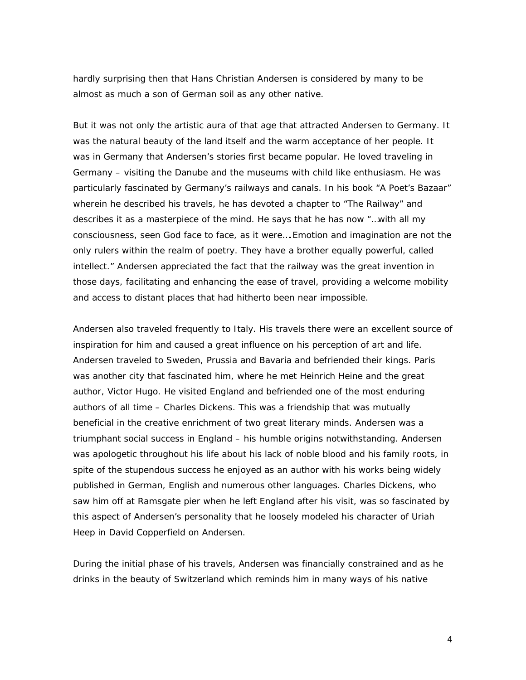hardly surprising then that Hans Christian Andersen is considered by many to be almost as much a son of German soil as any other native.

But it was not only the artistic aura of that age that attracted Andersen to Germany. It was the natural beauty of the land itself and the warm acceptance of her people. It was in Germany that Andersen's stories first became popular. He loved traveling in Germany – visiting the Danube and the museums with child like enthusiasm. He was particularly fascinated by Germany's railways and canals. In his book "A Poet's Bazaar" wherein he described his travels, he has devoted a chapter to "The Railway" and describes it as a masterpiece of the mind. He says that he has now "…with all my consciousness, seen God face to face, as it were….Emotion and imagination are not the only rulers within the realm of poetry. They have a brother equally powerful, called intellect." Andersen appreciated the fact that the railway was the great invention in those days, facilitating and enhancing the ease of travel, providing a welcome mobility and access to distant places that had hitherto been near impossible.

Andersen also traveled frequently to Italy. His travels there were an excellent source of inspiration for him and caused a great influence on his perception of art and life. Andersen traveled to Sweden, Prussia and Bavaria and befriended their kings. Paris was another city that fascinated him, where he met Heinrich Heine and the great author, Victor Hugo. He visited England and befriended one of the most enduring authors of all time – Charles Dickens. This was a friendship that was mutually beneficial in the creative enrichment of two great literary minds. Andersen was a triumphant social success in England – his humble origins notwithstanding. Andersen was apologetic throughout his life about his lack of noble blood and his family roots, in spite of the stupendous success he enjoyed as an author with his works being widely published in German, English and numerous other languages. Charles Dickens, who saw him off at Ramsgate pier when he left England after his visit, was so fascinated by this aspect of Andersen's personality that he loosely modeled his character of Uriah Heep in David Copperfield on Andersen.

During the initial phase of his travels, Andersen was financially constrained and as he drinks in the beauty of Switzerland which reminds him in many ways of his native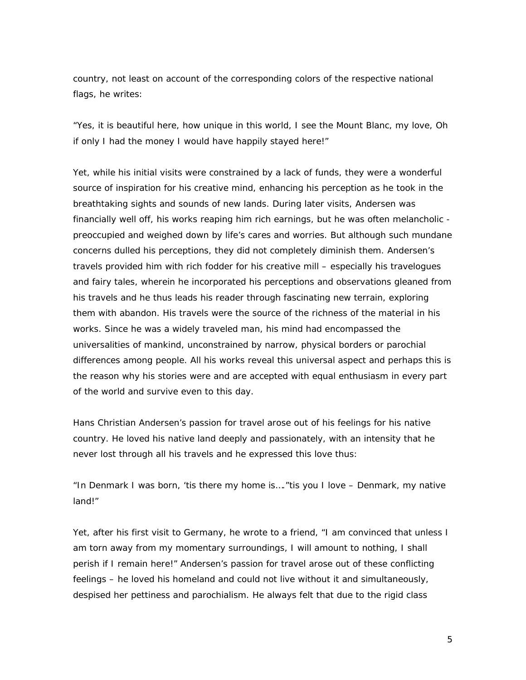country, not least on account of the corresponding colors of the respective national flags, he writes:

*"Yes, it is beautiful here, how unique in this world, I see the Mount Blanc, my love, Oh if only I had the money I would have happily stayed here!"*

Yet, while his initial visits were constrained by a lack of funds, they were a wonderful source of inspiration for his creative mind, enhancing his perception as he took in the breathtaking sights and sounds of new lands. During later visits, Andersen was financially well off, his works reaping him rich earnings, but he was often melancholic preoccupied and weighed down by life's cares and worries. But although such mundane concerns dulled his perceptions, they did not completely diminish them. Andersen's travels provided him with rich fodder for his creative mill – especially his travelogues and fairy tales, wherein he incorporated his perceptions and observations gleaned from his travels and he thus leads his reader through fascinating new terrain, exploring them with abandon. His travels were the source of the richness of the material in his works. Since he was a widely traveled man, his mind had encompassed the universalities of mankind, unconstrained by narrow, physical borders or parochial differences among people. All his works reveal this universal aspect and perhaps this is the reason why his stories were and are accepted with equal enthusiasm in every part of the world and survive even to this day.

Hans Christian Andersen's passion for travel arose out of his feelings for his native country. He loved his native land deeply and passionately, with an intensity that he never lost through all his travels and he expressed this love thus:

## *"In Denmark I was born, 'tis there my home is…."tis you I love – Denmark, my native land!"*

Yet, after his first visit to Germany, he wrote to a friend, "I am convinced that unless I am torn away from my momentary surroundings, I will amount to nothing, I shall perish if I remain here!" Andersen's passion for travel arose out of these conflicting feelings – he loved his homeland and could not live without it and simultaneously, despised her pettiness and parochialism. He always felt that due to the rigid class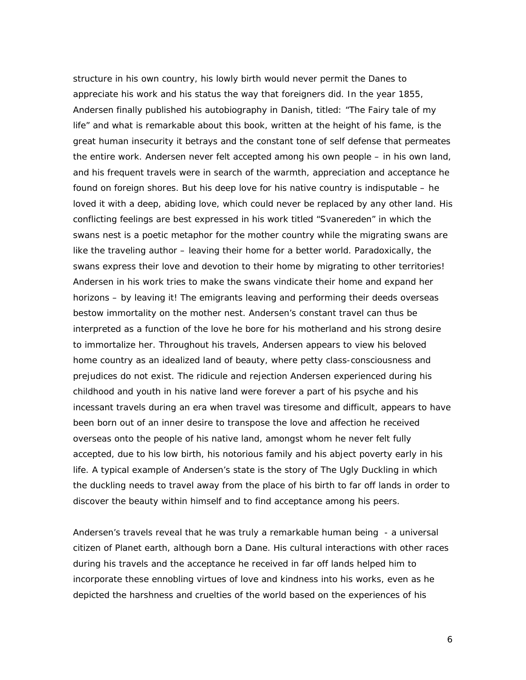structure in his own country, his lowly birth would never permit the Danes to appreciate his work and his status the way that foreigners did. In the year 1855, Andersen finally published his autobiography in Danish, titled: "The Fairy tale of my life" and what is remarkable about this book, written at the height of his fame, is the great human insecurity it betrays and the constant tone of self defense that permeates the entire work. Andersen never felt accepted among his own people – in his own land, and his frequent travels were in search of the warmth, appreciation and acceptance he found on foreign shores. But his deep love for his native country is indisputable – he loved it with a deep, abiding love, which could never be replaced by any other land. His conflicting feelings are best expressed in his work titled "Svanereden" in which the swans nest is a poetic metaphor for the mother country while the migrating swans are like the traveling author – leaving their home for a better world. Paradoxically, the swans express their love and devotion to their home by migrating to other territories! Andersen in his work tries to make the swans vindicate their home and expand her horizons – by leaving it! The emigrants leaving and performing their deeds overseas bestow immortality on the mother nest. Andersen's constant travel can thus be interpreted as a function of the love he bore for his motherland and his strong desire to immortalize her. Throughout his travels, Andersen appears to view his beloved home country as an idealized land of beauty, where petty class-consciousness and prejudices do not exist. The ridicule and rejection Andersen experienced during his childhood and youth in his native land were forever a part of his psyche and his incessant travels during an era when travel was tiresome and difficult, appears to have been born out of an inner desire to transpose the love and affection he received overseas onto the people of his native land, amongst whom he never felt fully accepted, due to his low birth, his notorious family and his abject poverty early in his life. A typical example of Andersen's state is the story of The Ugly Duckling in which the duckling needs to travel away from the place of his birth to far off lands in order to discover the beauty within himself and to find acceptance among his peers.

Andersen's travels reveal that he was truly a remarkable human being - a universal citizen of Planet earth, although born a Dane. His cultural interactions with other races during his travels and the acceptance he received in far off lands helped him to incorporate these ennobling virtues of love and kindness into his works, even as he depicted the harshness and cruelties of the world based on the experiences of his